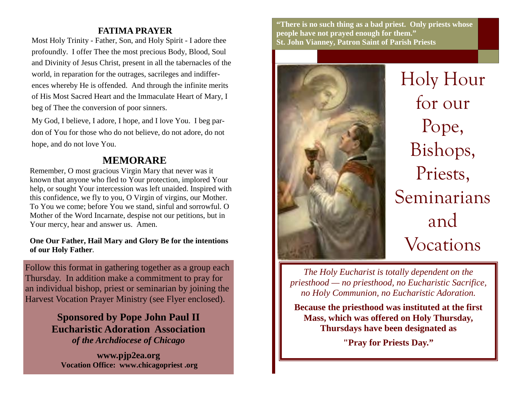## **FATIMA PRAYER**

Most Holy Trinity - Father, Son, and Holy Spirit - I adore thee profoundly. I offer Thee the most precious Body, Blood, Soul and Divinity of Jesus Christ, present in all the tabernacles of the world, in reparation for the outrages, sacrileges and indifferences whereby He is offended. And through the infinite merits of His Most Sacred Heart and the Immaculate Heart of Mary, I beg of Thee the conversion of poor sinners.

My God, I believe, I adore, I hope, and I love You. I beg pardon of You for those who do not believe, do not adore, do not hope, and do not love You.

## **MEMORARE**

Remember, O most gracious Virgin Mary that never was it known that anyone who fled to Your protection, implored Your help, or sought Your intercession was left unaided. Inspired with this confidence, we fly to you, O Virgin of virgins, our Mother. To You we come; before You we stand, sinful and sorrowful. O Mother of the Word Incarnate, despise not our petitions, but in Your mercy, hear and answer us. Amen.

### **One Our Father, Hail Mary and Glory Be for the intentions of our Holy Father.**

Follow this format in gathering together as a group each Thursday. In addition make a commitment to pray for an individual bishop, priest or seminarian by joining the Harvest Vocation Prayer Ministry (see Flyer enclosed).

> **Sponsored by Pope John Paul II Eucharistic Adoration Association** *of the Archdiocese of Chicago*

**www.pjp2ea.org Vocation Office: www.chicagopriest .org**

**"There is no such thing as a bad priest. Only priests whose people have not prayed enough for them." St. John Vianney, Patron Saint of Parish Priests** 



Holy Hour for our Pope, Bishops, Priests, Seminarians and Vocations

*The Holy Eucharist is totally dependent on the priesthood — no priesthood, no Eucharistic Sacrifice, no Holy Communion, no Eucharistic Adoration.*

**Because the priesthood was instituted at the first Mass, which was offered on Holy Thursday, Thursdays have been designated as** 

**"Pray for Priests Day."**